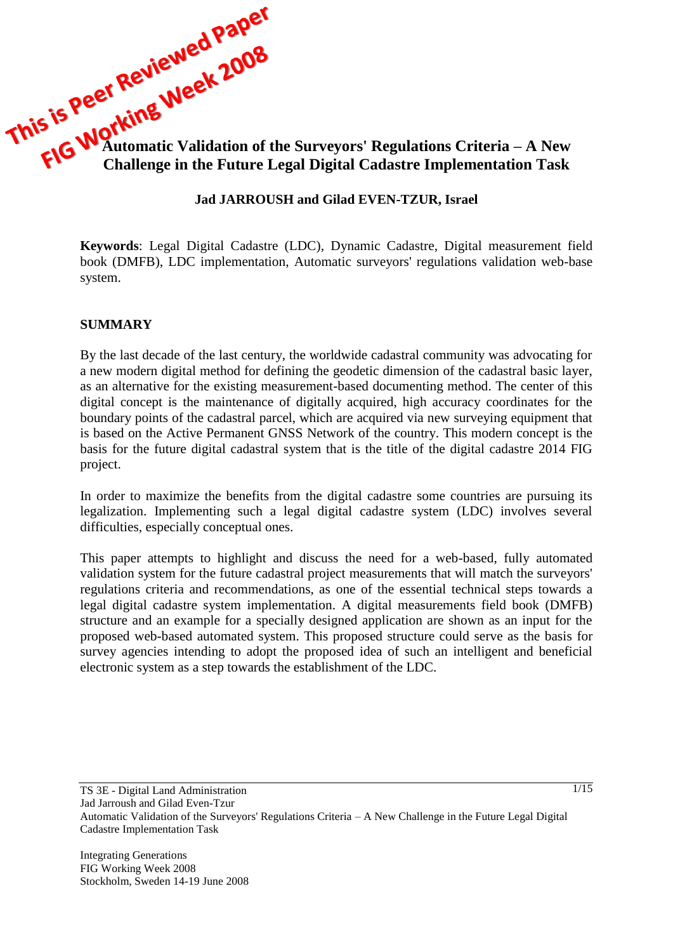

# **Jad JARROUSH and Gilad EVEN-TZUR, Israel**

**Keywords**: Legal Digital Cadastre (LDC), Dynamic Cadastre, Digital measurement field book (DMFB), LDC implementation, Automatic surveyors' regulations validation web-base system.

#### **SUMMARY**

By the last decade of the last century, the worldwide cadastral community was advocating for a new modern digital method for defining the geodetic dimension of the cadastral basic layer, as an alternative for the existing measurement-based documenting method. The center of this digital concept is the maintenance of digitally acquired, high accuracy coordinates for the boundary points of the cadastral parcel, which are acquired via new surveying equipment that is based on the Active Permanent GNSS Network of the country. This modern concept is the basis for the future digital cadastral system that is the title of the digital cadastre 2014 FIG project.

In order to maximize the benefits from the digital cadastre some countries are pursuing its legalization. Implementing such a legal digital cadastre system (LDC) involves several difficulties, especially conceptual ones.

This paper attempts to highlight and discuss the need for a web-based, fully automated validation system for the future cadastral project measurements that will match the surveyors' regulations criteria and recommendations, as one of the essential technical steps towards a legal digital cadastre system implementation. A digital measurements field book (DMFB) structure and an example for a specially designed application are shown as an input for the proposed web-based automated system. This proposed structure could serve as the basis for survey agencies intending to adopt the proposed idea of such an intelligent and beneficial electronic system as a step towards the establishment of the LDC.

TS 3E - Digital Land Administration Jad Jarroush and Gilad Even-Tzur Automatic Validation of the Surveyors' Regulations Criteria – A New Challenge in the Future Legal Digital Cadastre Implementation Task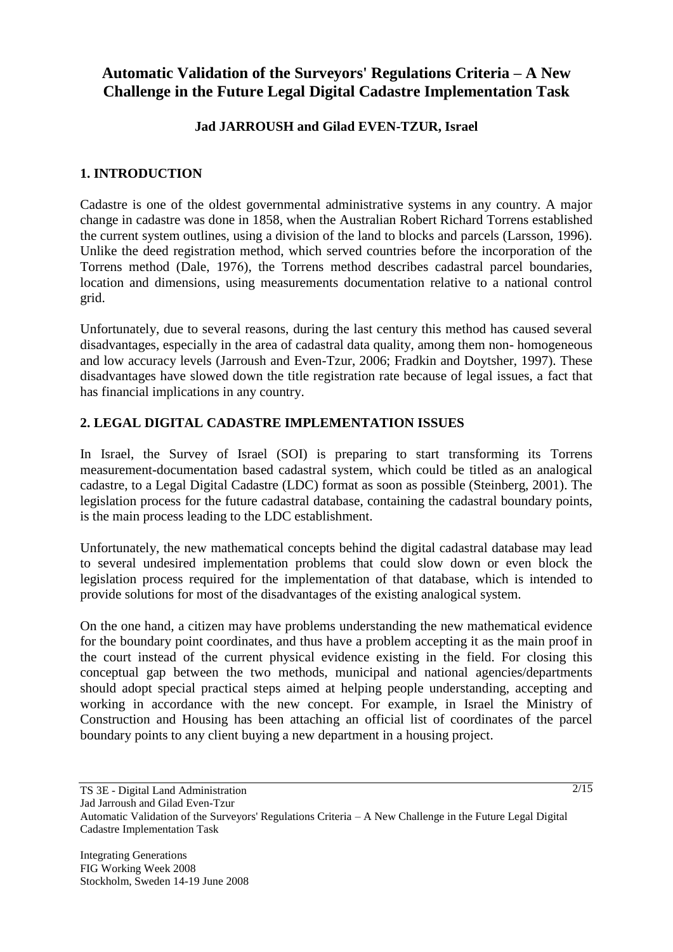# **Automatic Validation of the Surveyors' Regulations Criteria – A New Challenge in the Future Legal Digital Cadastre Implementation Task**

# **Jad JARROUSH and Gilad EVEN-TZUR, Israel**

# **1. INTRODUCTION**

Cadastre is one of the oldest governmental administrative systems in any country. A major change in cadastre was done in 1858, when the Australian Robert Richard Torrens established the current system outlines, using a division of the land to blocks and parcels (Larsson, 1996). Unlike the deed registration method, which served countries before the incorporation of the Torrens method (Dale, 1976), the Torrens method describes cadastral parcel boundaries, location and dimensions, using measurements documentation relative to a national control grid.

Unfortunately, due to several reasons, during the last century this method has caused several disadvantages, especially in the area of cadastral data quality, among them non- homogeneous and low accuracy levels (Jarroush and Even-Tzur, 2006; Fradkin and Doytsher, 1997). These disadvantages have slowed down the title registration rate because of legal issues, a fact that has financial implications in any country.

# **2. LEGAL DIGITAL CADASTRE IMPLEMENTATION ISSUES**

In Israel, the Survey of Israel (SOI) is preparing to start transforming its Torrens measurement-documentation based cadastral system, which could be titled as an analogical cadastre, to a Legal Digital Cadastre (LDC) format as soon as possible (Steinberg, 2001). The legislation process for the future cadastral database, containing the cadastral boundary points, is the main process leading to the LDC establishment.

Unfortunately, the new mathematical concepts behind the digital cadastral database may lead to several undesired implementation problems that could slow down or even block the legislation process required for the implementation of that database, which is intended to provide solutions for most of the disadvantages of the existing analogical system.

On the one hand, a citizen may have problems understanding the new mathematical evidence for the boundary point coordinates, and thus have a problem accepting it as the main proof in the court instead of the current physical evidence existing in the field. For closing this conceptual gap between the two methods, municipal and national agencies/departments should adopt special practical steps aimed at helping people understanding, accepting and working in accordance with the new concept. For example, in Israel the Ministry of Construction and Housing has been attaching an official list of coordinates of the parcel boundary points to any client buying a new department in a housing project.

TS 3E - Digital Land Administration Jad Jarroush and Gilad Even-Tzur Automatic Validation of the Surveyors' Regulations Criteria – A New Challenge in the Future Legal Digital Cadastre Implementation Task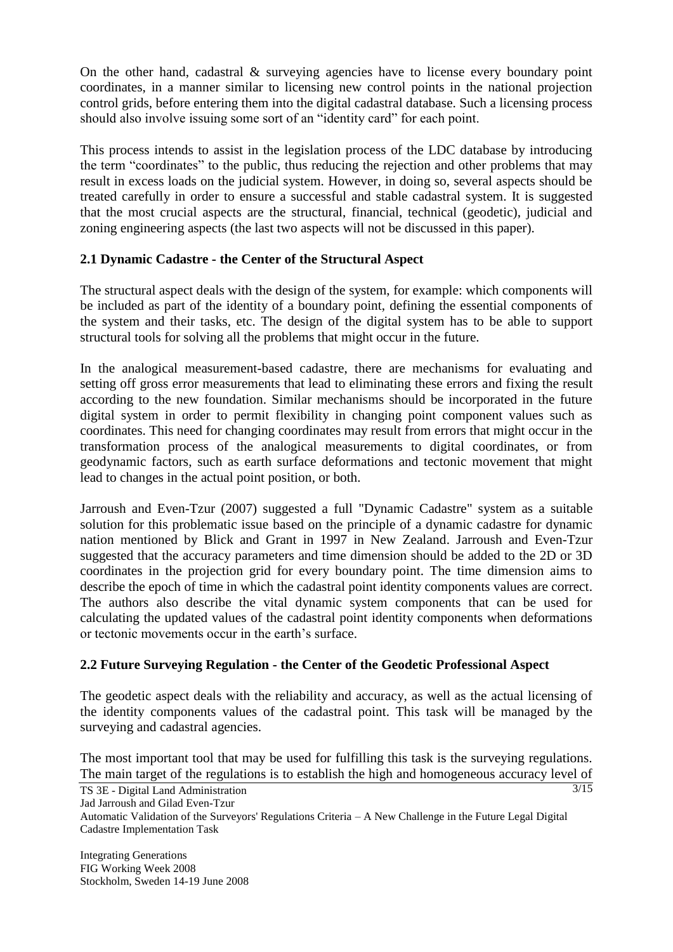On the other hand, cadastral & surveying agencies have to license every boundary point coordinates, in a manner similar to licensing new control points in the national projection control grids, before entering them into the digital cadastral database. Such a licensing process should also involve issuing some sort of an "identity card" for each point.

This process intends to assist in the legislation process of the LDC database by introducing the term "coordinates" to the public, thus reducing the rejection and other problems that may result in excess loads on the judicial system. However, in doing so, several aspects should be treated carefully in order to ensure a successful and stable cadastral system. It is suggested that the most crucial aspects are the structural, financial, technical (geodetic), judicial and zoning engineering aspects (the last two aspects will not be discussed in this paper).

# **2.1 Dynamic Cadastre - the Center of the Structural Aspect**

The structural aspect deals with the design of the system, for example: which components will be included as part of the identity of a boundary point, defining the essential components of the system and their tasks, etc. The design of the digital system has to be able to support structural tools for solving all the problems that might occur in the future.

In the analogical measurement-based cadastre, there are mechanisms for evaluating and setting off gross error measurements that lead to eliminating these errors and fixing the result according to the new foundation. Similar mechanisms should be incorporated in the future digital system in order to permit flexibility in changing point component values such as coordinates. This need for changing coordinates may result from errors that might occur in the transformation process of the analogical measurements to digital coordinates, or from geodynamic factors, such as earth surface deformations and tectonic movement that might lead to changes in the actual point position, or both.

Jarroush and Even-Tzur (2007) suggested a full "Dynamic Cadastre" system as a suitable solution for this problematic issue based on the principle of a dynamic cadastre for dynamic nation mentioned by Blick and Grant in 1997 in New Zealand. Jarroush and Even-Tzur suggested that the accuracy parameters and time dimension should be added to the 2D or 3D coordinates in the projection grid for every boundary point. The time dimension aims to describe the epoch of time in which the cadastral point identity components values are correct. The authors also describe the vital dynamic system components that can be used for calculating the updated values of the cadastral point identity components when deformations or tectonic movements occur in the earth's surface.

# **2.2 Future Surveying Regulation - the Center of the Geodetic Professional Aspect**

The geodetic aspect deals with the reliability and accuracy, as well as the actual licensing of the identity components values of the cadastral point. This task will be managed by the surveying and cadastral agencies.

The most important tool that may be used for fulfilling this task is the surveying regulations. The main target of the regulations is to establish the high and homogeneous accuracy level of

 $3/15$ 

TS 3E - Digital Land Administration Jad Jarroush and Gilad Even-Tzur

Automatic Validation of the Surveyors' Regulations Criteria – A New Challenge in the Future Legal Digital Cadastre Implementation Task

Integrating Generations FIG Working Week 2008 Stockholm, Sweden 14-19 June 2008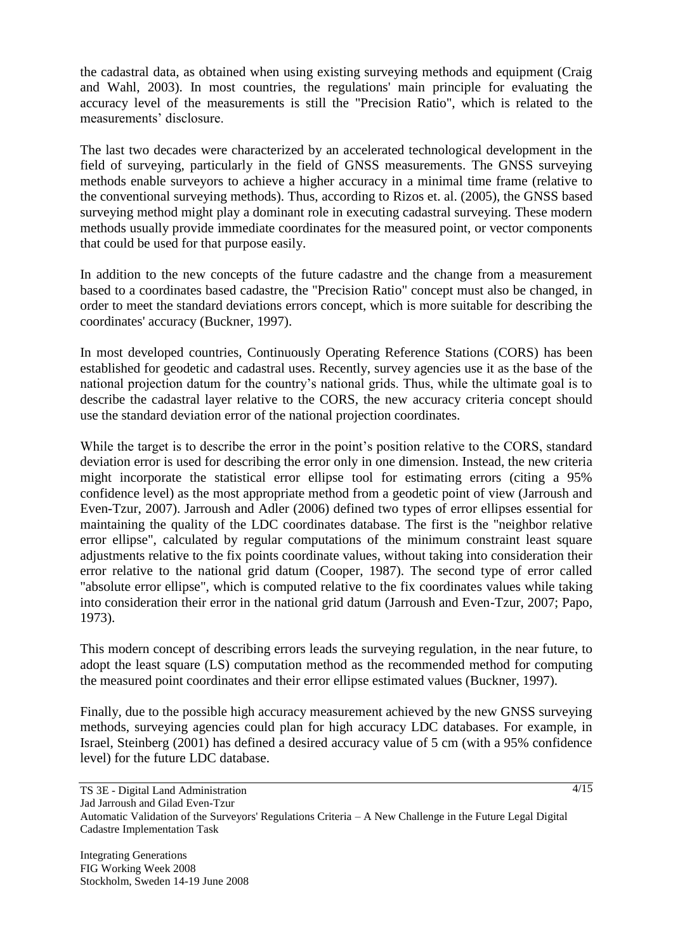the cadastral data, as obtained when using existing surveying methods and equipment (Craig and Wahl, 2003). In most countries, the regulations' main principle for evaluating the accuracy level of the measurements is still the "Precision Ratio", which is related to the measurements' disclosure.

The last two decades were characterized by an accelerated technological development in the field of surveying, particularly in the field of GNSS measurements. The GNSS surveying methods enable surveyors to achieve a higher accuracy in a minimal time frame (relative to the conventional surveying methods). Thus, according to Rizos et. al. (2005), the GNSS based surveying method might play a dominant role in executing cadastral surveying. These modern methods usually provide immediate coordinates for the measured point, or vector components that could be used for that purpose easily.

In addition to the new concepts of the future cadastre and the change from a measurement based to a coordinates based cadastre, the "Precision Ratio" concept must also be changed, in order to meet the standard deviations errors concept, which is more suitable for describing the coordinates' accuracy (Buckner, 1997).

In most developed countries, Continuously Operating Reference Stations (CORS) has been established for geodetic and cadastral uses. Recently, survey agencies use it as the base of the national projection datum for the country's national grids. Thus, while the ultimate goal is to describe the cadastral layer relative to the CORS, the new accuracy criteria concept should use the standard deviation error of the national projection coordinates.

While the target is to describe the error in the point's position relative to the CORS, standard deviation error is used for describing the error only in one dimension. Instead, the new criteria might incorporate the statistical error ellipse tool for estimating errors (citing a 95% confidence level) as the most appropriate method from a geodetic point of view (Jarroush and Even-Tzur, 2007). Jarroush and Adler (2006) defined two types of error ellipses essential for maintaining the quality of the LDC coordinates database. The first is the "neighbor relative error ellipse", calculated by regular computations of the minimum constraint least square adjustments relative to the fix points coordinate values, without taking into consideration their error relative to the national grid datum (Cooper, 1987). The second type of error called "absolute error ellipse", which is computed relative to the fix coordinates values while taking into consideration their error in the national grid datum (Jarroush and Even-Tzur, 2007; Papo, 1973).

This modern concept of describing errors leads the surveying regulation, in the near future, to adopt the least square (LS) computation method as the recommended method for computing the measured point coordinates and their error ellipse estimated values (Buckner, 1997).

Finally, due to the possible high accuracy measurement achieved by the new GNSS surveying methods, surveying agencies could plan for high accuracy LDC databases. For example, in Israel, Steinberg (2001) has defined a desired accuracy value of 5 cm (with a 95% confidence level) for the future LDC database.

 $4/15$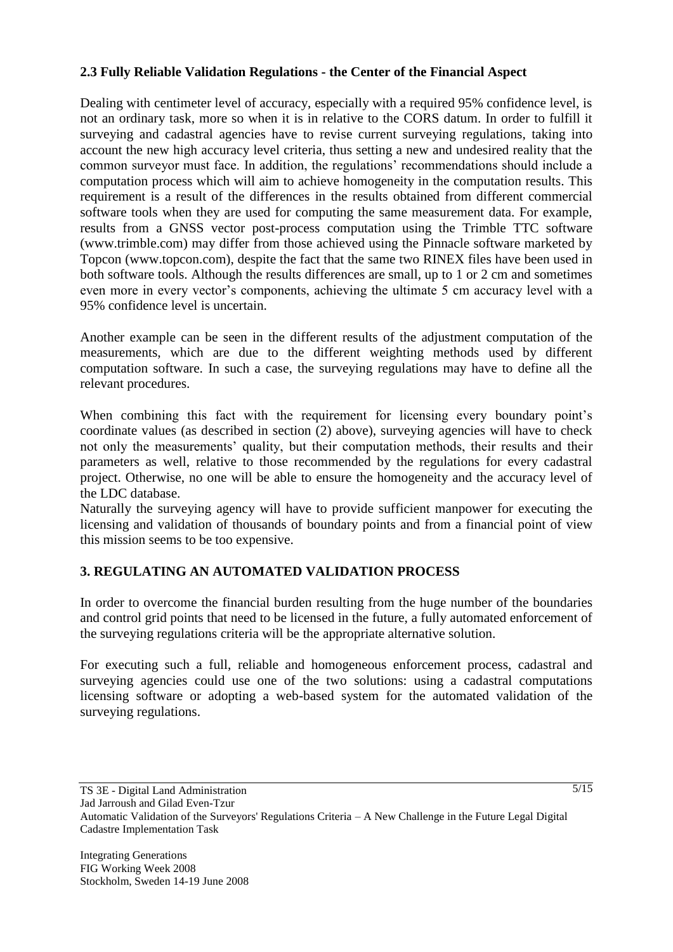# **2.3 Fully Reliable Validation Regulations - the Center of the Financial Aspect**

Dealing with centimeter level of accuracy, especially with a required 95% confidence level, is not an ordinary task, more so when it is in relative to the CORS datum. In order to fulfill it surveying and cadastral agencies have to revise current surveying regulations, taking into account the new high accuracy level criteria, thus setting a new and undesired reality that the common surveyor must face. In addition, the regulations' recommendations should include a computation process which will aim to achieve homogeneity in the computation results. This requirement is a result of the differences in the results obtained from different commercial software tools when they are used for computing the same measurement data. For example, results from a GNSS vector post-process computation using the Trimble TTC software (www.trimble.com) may differ from those achieved using the Pinnacle software marketed by Topcon (www.topcon.com), despite the fact that the same two RINEX files have been used in both software tools. Although the results differences are small, up to 1 or 2 cm and sometimes even more in every vector's components, achieving the ultimate 5 cm accuracy level with a 95% confidence level is uncertain.

Another example can be seen in the different results of the adjustment computation of the measurements, which are due to the different weighting methods used by different computation software. In such a case, the surveying regulations may have to define all the relevant procedures.

When combining this fact with the requirement for licensing every boundary point's coordinate values (as described in section (2) above), surveying agencies will have to check not only the measurements' quality, but their computation methods, their results and their parameters as well, relative to those recommended by the regulations for every cadastral project. Otherwise, no one will be able to ensure the homogeneity and the accuracy level of the LDC database.

Naturally the surveying agency will have to provide sufficient manpower for executing the licensing and validation of thousands of boundary points and from a financial point of view this mission seems to be too expensive.

# **3. REGULATING AN AUTOMATED VALIDATION PROCESS**

In order to overcome the financial burden resulting from the huge number of the boundaries and control grid points that need to be licensed in the future, a fully automated enforcement of the surveying regulations criteria will be the appropriate alternative solution.

For executing such a full, reliable and homogeneous enforcement process, cadastral and surveying agencies could use one of the two solutions: using a cadastral computations licensing software or adopting a web-based system for the automated validation of the surveying regulations.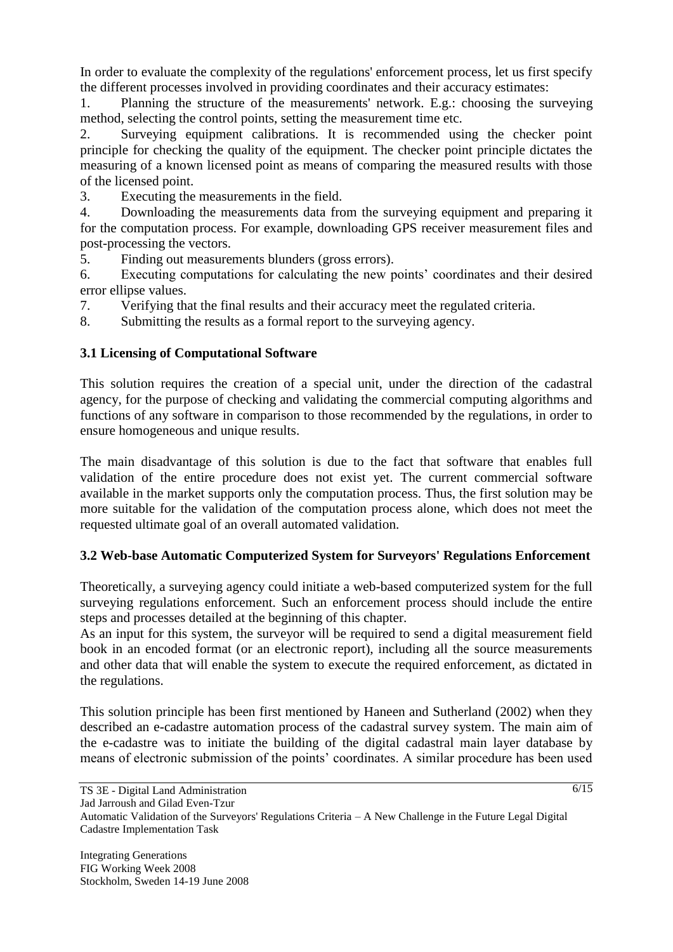In order to evaluate the complexity of the regulations' enforcement process, let us first specify the different processes involved in providing coordinates and their accuracy estimates:

1. Planning the structure of the measurements' network. E.g.: choosing the surveying method, selecting the control points, setting the measurement time etc.

2. Surveying equipment calibrations. It is recommended using the checker point principle for checking the quality of the equipment. The checker point principle dictates the measuring of a known licensed point as means of comparing the measured results with those of the licensed point.

3. Executing the measurements in the field.

4. Downloading the measurements data from the surveying equipment and preparing it for the computation process. For example, downloading GPS receiver measurement files and post-processing the vectors.

5. Finding out measurements blunders (gross errors).

6. Executing computations for calculating the new points' coordinates and their desired error ellipse values.

7. Verifying that the final results and their accuracy meet the regulated criteria.

8. Submitting the results as a formal report to the surveying agency.

# **3.1 Licensing of Computational Software**

This solution requires the creation of a special unit, under the direction of the cadastral agency, for the purpose of checking and validating the commercial computing algorithms and functions of any software in comparison to those recommended by the regulations, in order to ensure homogeneous and unique results.

The main disadvantage of this solution is due to the fact that software that enables full validation of the entire procedure does not exist yet. The current commercial software available in the market supports only the computation process. Thus, the first solution may be more suitable for the validation of the computation process alone, which does not meet the requested ultimate goal of an overall automated validation.

# **3.2 Web-base Automatic Computerized System for Surveyors' Regulations Enforcement**

Theoretically, a surveying agency could initiate a web-based computerized system for the full surveying regulations enforcement. Such an enforcement process should include the entire steps and processes detailed at the beginning of this chapter.

As an input for this system, the surveyor will be required to send a digital measurement field book in an encoded format (or an electronic report), including all the source measurements and other data that will enable the system to execute the required enforcement, as dictated in the regulations.

This solution principle has been first mentioned by Haneen and Sutherland (2002) when they described an e-cadastre automation process of the cadastral survey system. The main aim of the e-cadastre was to initiate the building of the digital cadastral main layer database by means of electronic submission of the points' coordinates. A similar procedure has been used

 $\sqrt{6/15}$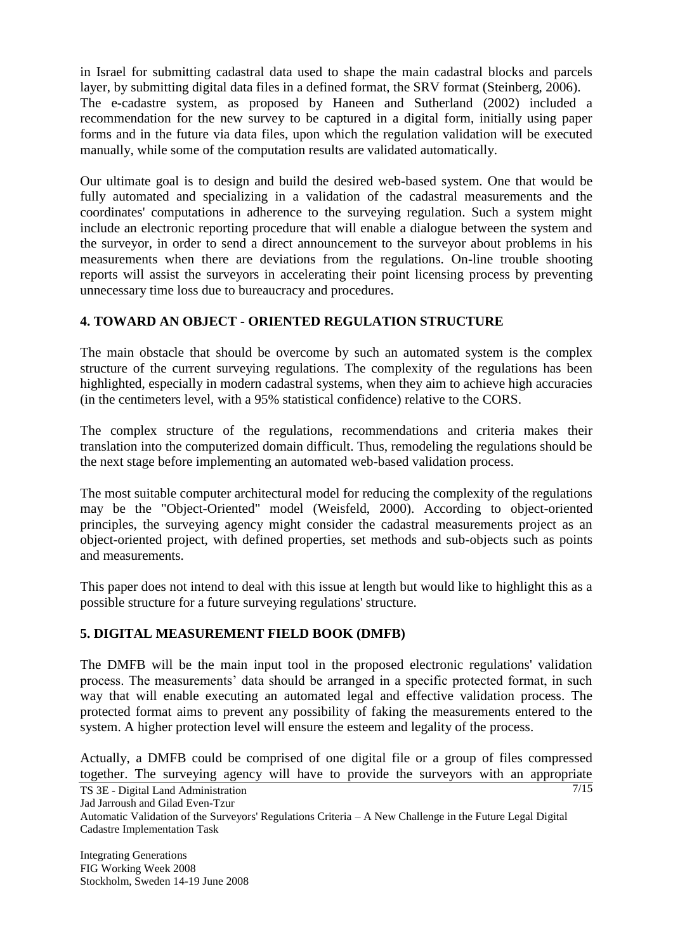in Israel for submitting cadastral data used to shape the main cadastral blocks and parcels layer, by submitting digital data files in a defined format, the SRV format (Steinberg, 2006). The e-cadastre system, as proposed by Haneen and Sutherland (2002) included a recommendation for the new survey to be captured in a digital form, initially using paper forms and in the future via data files, upon which the regulation validation will be executed manually, while some of the computation results are validated automatically.

Our ultimate goal is to design and build the desired web-based system. One that would be fully automated and specializing in a validation of the cadastral measurements and the coordinates' computations in adherence to the surveying regulation. Such a system might include an electronic reporting procedure that will enable a dialogue between the system and the surveyor, in order to send a direct announcement to the surveyor about problems in his measurements when there are deviations from the regulations. On-line trouble shooting reports will assist the surveyors in accelerating their point licensing process by preventing unnecessary time loss due to bureaucracy and procedures.

# **4. TOWARD AN OBJECT - ORIENTED REGULATION STRUCTURE**

The main obstacle that should be overcome by such an automated system is the complex structure of the current surveying regulations. The complexity of the regulations has been highlighted, especially in modern cadastral systems, when they aim to achieve high accuracies (in the centimeters level, with a 95% statistical confidence) relative to the CORS.

The complex structure of the regulations, recommendations and criteria makes their translation into the computerized domain difficult. Thus, remodeling the regulations should be the next stage before implementing an automated web-based validation process.

The most suitable computer architectural model for reducing the complexity of the regulations may be the "Object-Oriented" model (Weisfeld, 2000). According to object-oriented principles, the surveying agency might consider the cadastral measurements project as an object-oriented project, with defined properties, set methods and sub-objects such as points and measurements.

This paper does not intend to deal with this issue at length but would like to highlight this as a possible structure for a future surveying regulations' structure.

# **5. DIGITAL MEASUREMENT FIELD BOOK (DMFB)**

The DMFB will be the main input tool in the proposed electronic regulations' validation process. The measurements' data should be arranged in a specific protected format, in such way that will enable executing an automated legal and effective validation process. The protected format aims to prevent any possibility of faking the measurements entered to the system. A higher protection level will ensure the esteem and legality of the process.

7/15 Actually, a DMFB could be comprised of one digital file or a group of files compressed together. The surveying agency will have to provide the surveyors with an appropriate

TS 3E - Digital Land Administration

Jad Jarroush and Gilad Even-Tzur

Automatic Validation of the Surveyors' Regulations Criteria – A New Challenge in the Future Legal Digital Cadastre Implementation Task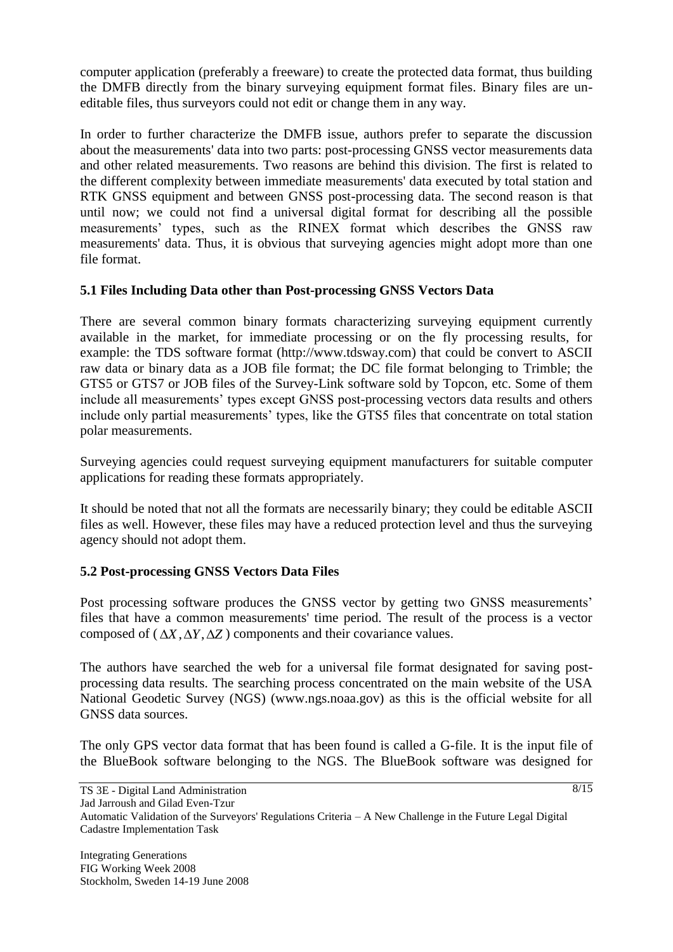computer application (preferably a freeware) to create the protected data format, thus building the DMFB directly from the binary surveying equipment format files. Binary files are uneditable files, thus surveyors could not edit or change them in any way.

In order to further characterize the DMFB issue, authors prefer to separate the discussion about the measurements' data into two parts: post-processing GNSS vector measurements data and other related measurements. Two reasons are behind this division. The first is related to the different complexity between immediate measurements' data executed by total station and RTK GNSS equipment and between GNSS post-processing data. The second reason is that until now; we could not find a universal digital format for describing all the possible measurements' types, such as the RINEX format which describes the GNSS raw measurements' data. Thus, it is obvious that surveying agencies might adopt more than one file format.

# **5.1 Files Including Data other than Post-processing GNSS Vectors Data**

There are several common binary formats characterizing surveying equipment currently available in the market, for immediate processing or on the fly processing results, for example: the TDS software format (http://www.tdsway.com) that could be convert to ASCII raw data or binary data as a JOB file format; the DC file format belonging to Trimble; the GTS5 or GTS7 or JOB files of the Survey-Link software sold by Topcon, etc. Some of them include all measurements' types except GNSS post-processing vectors data results and others include only partial measurements' types, like the GTS5 files that concentrate on total station polar measurements.

Surveying agencies could request surveying equipment manufacturers for suitable computer applications for reading these formats appropriately.

It should be noted that not all the formats are necessarily binary; they could be editable ASCII files as well. However, these files may have a reduced protection level and thus the surveying agency should not adopt them.

# **5.2 Post-processing GNSS Vectors Data Files**

Post processing software produces the GNSS vector by getting two GNSS measurements' files that have a common measurements' time period. The result of the process is a vector composed of  $(\Delta X, \Delta Y, \Delta Z)$  components and their covariance values.

The authors have searched the web for a universal file format designated for saving postprocessing data results. The searching process concentrated on the main website of the USA National Geodetic Survey (NGS) (www.ngs.noaa.gov) as this is the official website for all GNSS data sources.

The only GPS vector data format that has been found is called a G-file. It is the input file of the BlueBook software belonging to the NGS. The BlueBook software was designed for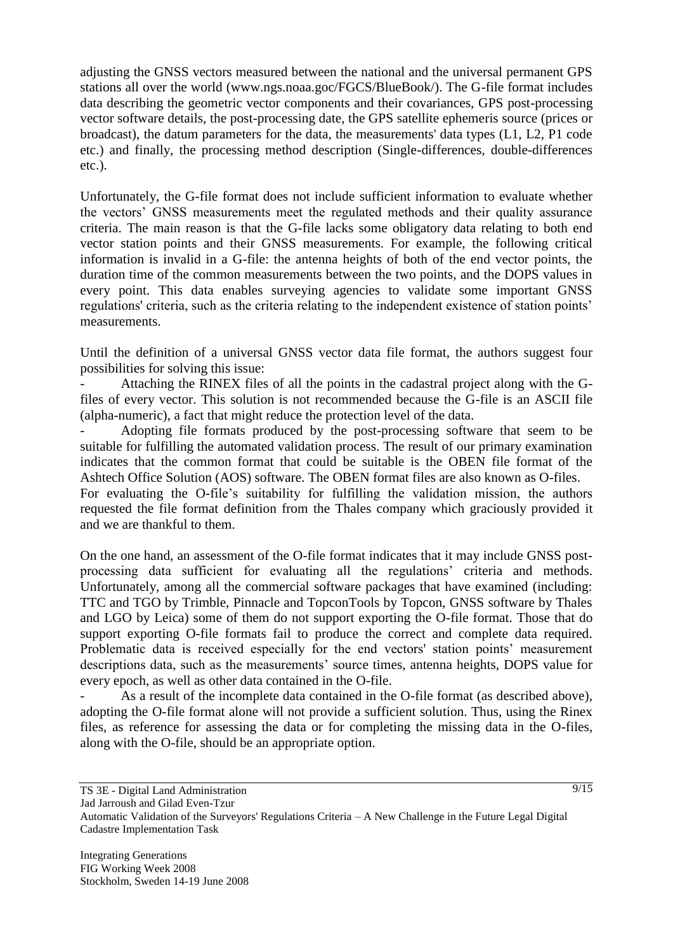adjusting the GNSS vectors measured between the national and the universal permanent GPS stations all over the world (www.ngs.noaa.goc/FGCS/BlueBook/). The G-file format includes data describing the geometric vector components and their covariances, GPS post-processing vector software details, the post-processing date, the GPS satellite ephemeris source (prices or broadcast), the datum parameters for the data, the measurements' data types (L1, L2, P1 code etc.) and finally, the processing method description (Single-differences, double-differences etc.).

Unfortunately, the G-file format does not include sufficient information to evaluate whether the vectors' GNSS measurements meet the regulated methods and their quality assurance criteria. The main reason is that the G-file lacks some obligatory data relating to both end vector station points and their GNSS measurements. For example, the following critical information is invalid in a G-file: the antenna heights of both of the end vector points, the duration time of the common measurements between the two points, and the DOPS values in every point. This data enables surveying agencies to validate some important GNSS regulations' criteria, such as the criteria relating to the independent existence of station points' measurements.

Until the definition of a universal GNSS vector data file format, the authors suggest four possibilities for solving this issue:

Attaching the RINEX files of all the points in the cadastral project along with the Gfiles of every vector. This solution is not recommended because the G-file is an ASCII file (alpha-numeric), a fact that might reduce the protection level of the data.

- Adopting file formats produced by the post-processing software that seem to be suitable for fulfilling the automated validation process. The result of our primary examination indicates that the common format that could be suitable is the OBEN file format of the Ashtech Office Solution (AOS) software. The OBEN format files are also known as O-files. For evaluating the O-file's suitability for fulfilling the validation mission, the authors requested the file format definition from the Thales company which graciously provided it

and we are thankful to them.

On the one hand, an assessment of the O-file format indicates that it may include GNSS postprocessing data sufficient for evaluating all the regulations' criteria and methods. Unfortunately, among all the commercial software packages that have examined (including: TTC and TGO by Trimble, Pinnacle and TopconTools by Topcon, GNSS software by Thales and LGO by Leica) some of them do not support exporting the O-file format. Those that do support exporting O-file formats fail to produce the correct and complete data required. Problematic data is received especially for the end vectors' station points' measurement descriptions data, such as the measurements' source times, antenna heights, DOPS value for every epoch, as well as other data contained in the O-file.

As a result of the incomplete data contained in the O-file format (as described above), adopting the O-file format alone will not provide a sufficient solution. Thus, using the Rinex files, as reference for assessing the data or for completing the missing data in the O-files, along with the O-file, should be an appropriate option.

 $\sqrt{9/15}$ 

TS 3E - Digital Land Administration

Jad Jarroush and Gilad Even-Tzur

Automatic Validation of the Surveyors' Regulations Criteria – A New Challenge in the Future Legal Digital Cadastre Implementation Task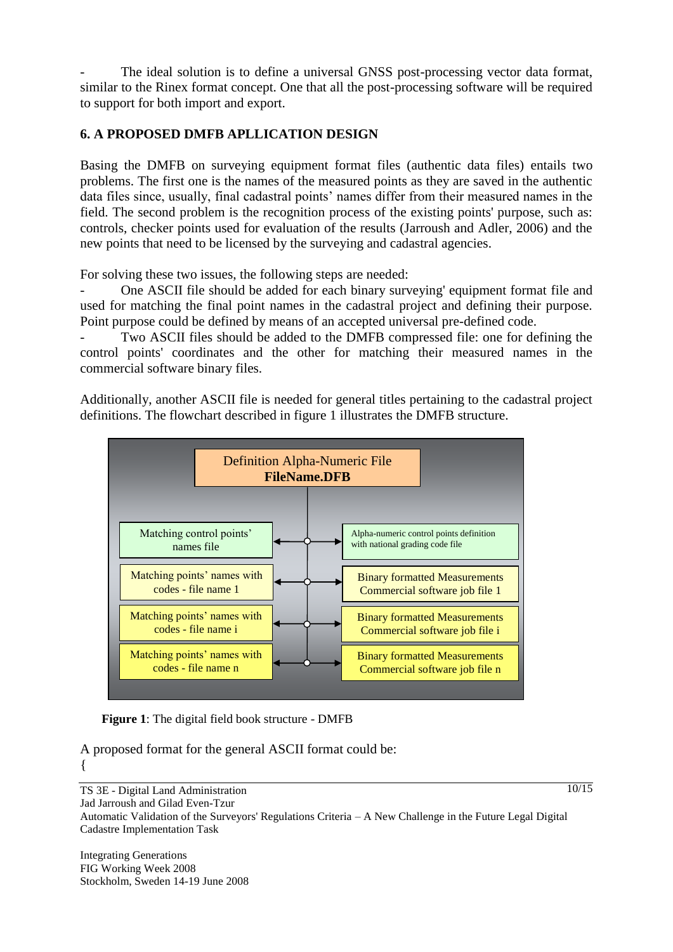The ideal solution is to define a universal GNSS post-processing vector data format, similar to the Rinex format concept. One that all the post-processing software will be required to support for both import and export.

# **6. A PROPOSED DMFB APLLICATION DESIGN**

Basing the DMFB on surveying equipment format files (authentic data files) entails two problems. The first one is the names of the measured points as they are saved in the authentic data files since, usually, final cadastral points' names differ from their measured names in the field. The second problem is the recognition process of the existing points' purpose, such as: controls, checker points used for evaluation of the results (Jarroush and Adler, 2006) and the new points that need to be licensed by the surveying and cadastral agencies.

For solving these two issues, the following steps are needed:

One ASCII file should be added for each binary surveying' equipment format file and used for matching the final point names in the cadastral project and defining their purpose. Point purpose could be defined by means of an accepted universal pre-defined code.

Two ASCII files should be added to the DMFB compressed file: one for defining the control points' coordinates and the other for matching their measured names in the commercial software binary files.

Additionally, another ASCII file is needed for general titles pertaining to the cadastral project definitions. The flowchart described in figure 1 illustrates the DMFB structure.



**Figure 1**: The digital field book structure - DMFB

A proposed format for the general ASCII format could be: {

TS 3E - Digital Land Administration Jad Jarroush and Gilad Even-Tzur Automatic Validation of the Surveyors' Regulations Criteria – A New Challenge in the Future Legal Digital Cadastre Implementation Task

Integrating Generations FIG Working Week 2008 Stockholm, Sweden 14-19 June 2008  $\sqrt{10/15}$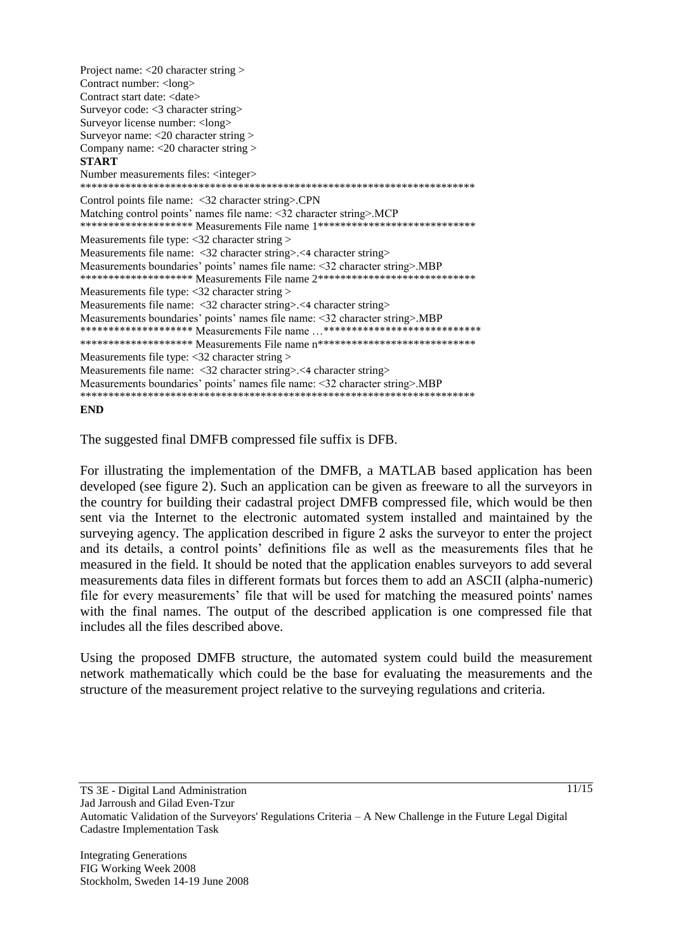Project name: <20 character string > Contract number: < long> Contract start date: <date> Surveyor code: <3 character string> Surveyor license number: <long> Surveyor name: <20 character string > Company name: <20 character string > **START** Number measurements files: <integer> \*\*\*\*\*\*\*\*\*\*\*\*\*\*\*\*\*\*\*\*\*\*\*\*\*\*\*\*\*\*\*\*\*\*\*\*\*\*\*\*\*\*\*\*\*\*\*\*\*\*\*\*\*\*\*\*\*\*\*\*\*\*\*\*\*\*\*\*\*\* Control points file name: <32 character string>.CPN Matching control points' names file name: <32 character string>.MCP \*\*\*\*\*\*\*\*\*\*\*\*\*\*\*\*\*\*\*\* Measurements File name 1\*\*\*\*\*\*\*\*\*\*\*\*\*\*\*\*\*\*\*\*\*\*\*\*\*\*\*\*\*\* Measurements file type: <32 character string > Measurements file name: <32 character string>.<4 character string> Measurements boundaries' points' names file name: <32 character string>.MBP \*\*\*\*\*\*\*\*\*\*\*\*\*\*\*\*\*\*\*\* Measurements File name 2\*\*\*\*\*\*\*\*\*\*\*\*\*\*\*\*\*\*\*\*\*\*\*\*\*\*\*\*\*\*\* Measurements file type: <32 character string > Measurements file name: <32 character string>.<4 character string> Measurements boundaries' points' names file name: <32 character string>.MBP \*\*\*\*\*\*\*\*\*\*\*\*\*\*\*\*\*\*\* Measurements File name ...\*\*\*\*\*\*\*\*\*\*\*\*\*\*\*\*\*\*\*\*\*\*\*\*\*\*\*\*\* \*\*\*\*\*\*\*\*\*\*\*\*\*\*\*\*\*\*\*\* Measurements File name n\*\*\*\*\*\*\*\*\*\*\*\*\*\*\*\*\*\*\*\*\*\*\*\*\*\*\*\*\*\*\*\*\*\* Measurements file type: <32 character string > Measurements file name: <32 character string>.<4 character string> Measurements boundaries' points' names file name: <32 character string>.MBP \*\*\*\*\*\*\*\*\*\*\*\*\*\*\*\*\*\*\*\*\*\*\*\*\*\*\*\*\*\*\*\*\*\*\*\*\*\*\*\*\*\*\*\*\*\*\*\*\*\*\*\*\*\*\*\*\*\*\*\*\*\*\*\*\*\*\*\*\*\*

#### **END**

The suggested final DMFB compressed file suffix is DFB.

For illustrating the implementation of the DMFB, a MATLAB based application has been developed (see figure 2). Such an application can be given as freeware to all the surveyors in the country for building their cadastral project DMFB compressed file, which would be then sent via the Internet to the electronic automated system installed and maintained by the surveying agency. The application described in figure 2 asks the surveyor to enter the project and its details, a control points' definitions file as well as the measurements files that he measured in the field. It should be noted that the application enables surveyors to add several measurements data files in different formats but forces them to add an ASCII (alpha-numeric) file for every measurements' file that will be used for matching the measured points' names with the final names. The output of the described application is one compressed file that includes all the files described above.

Using the proposed DMFB structure, the automated system could build the measurement network mathematically which could be the base for evaluating the measurements and the structure of the measurement project relative to the surveying regulations and criteria.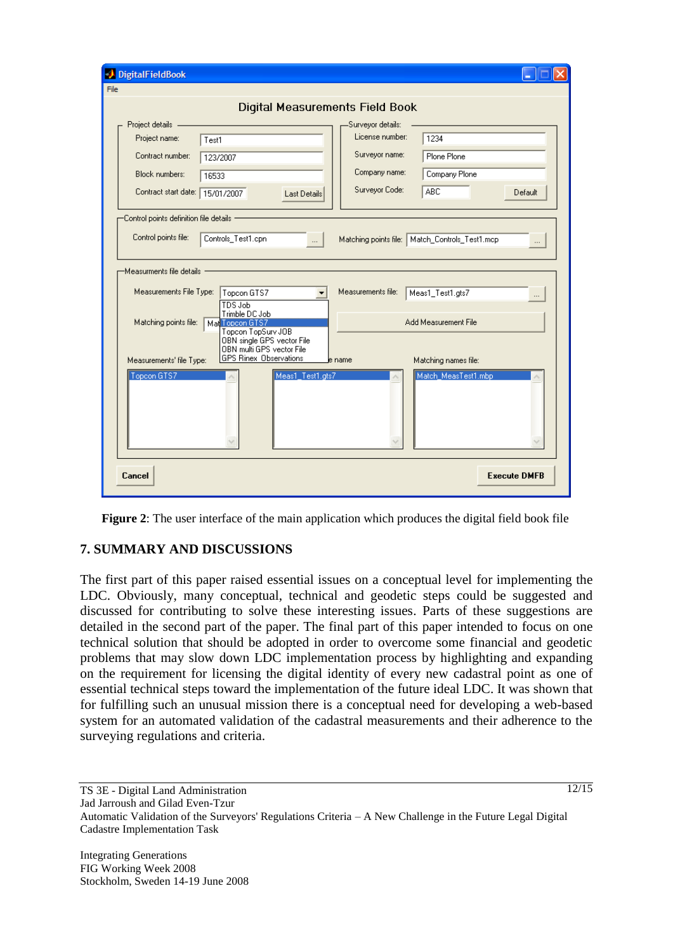| DigitalFieldBook                                                                                                         |                                            |
|--------------------------------------------------------------------------------------------------------------------------|--------------------------------------------|
| File                                                                                                                     |                                            |
| Digital Measurements Field Book                                                                                          |                                            |
| Project details                                                                                                          | Surveyor details:                          |
| Project name:<br>Test1                                                                                                   | License number:<br>1234                    |
| Contract number:<br>123/2007                                                                                             | Surveyor name:<br>Plone Plone              |
| <b>Block numbers:</b><br>16533                                                                                           | Company name:<br>Company Plone             |
| Contract start date: 15/01/2007<br>Last Details                                                                          | Surveyor Code:<br>ABC<br>Default           |
| -Control points definition file details -                                                                                |                                            |
| Control points file:<br>Controls_Test1.cpn<br>Matching points file:   Match_Controls_Test1.mcp<br>$\dddotsc$<br>$\cdots$ |                                            |
| -Measurments file details                                                                                                |                                            |
| Measurements File Type:<br>Topcon GTS7<br>TDS Job                                                                        | Measurements file:<br>Meas1_Test1.gts7<br> |
| Trimble DC Job<br>Matching points file:<br>Mal Topcon GTS7<br>Topcon TopSurv JOB<br>OBN single GPS vector File           | Add Measurement File                       |
| OBN multi GPS vector File<br><b>GPS Rinex Observations</b><br>Measurements' file Type:                                   | Matching names file:<br>le name            |
| Topcon GTS7<br>Meas1 Test1.gts7<br>Match MeasTest1.mbp                                                                   |                                            |
| Cancel                                                                                                                   | <b>Execute DMFB</b>                        |

**Figure 2**: The user interface of the main application which produces the digital field book file

# **7. SUMMARY AND DISCUSSIONS**

The first part of this paper raised essential issues on a conceptual level for implementing the LDC. Obviously, many conceptual, technical and geodetic steps could be suggested and discussed for contributing to solve these interesting issues. Parts of these suggestions are detailed in the second part of the paper. The final part of this paper intended to focus on one technical solution that should be adopted in order to overcome some financial and geodetic problems that may slow down LDC implementation process by highlighting and expanding on the requirement for licensing the digital identity of every new cadastral point as one of essential technical steps toward the implementation of the future ideal LDC. It was shown that for fulfilling such an unusual mission there is a conceptual need for developing a web-based system for an automated validation of the cadastral measurements and their adherence to the surveying regulations and criteria.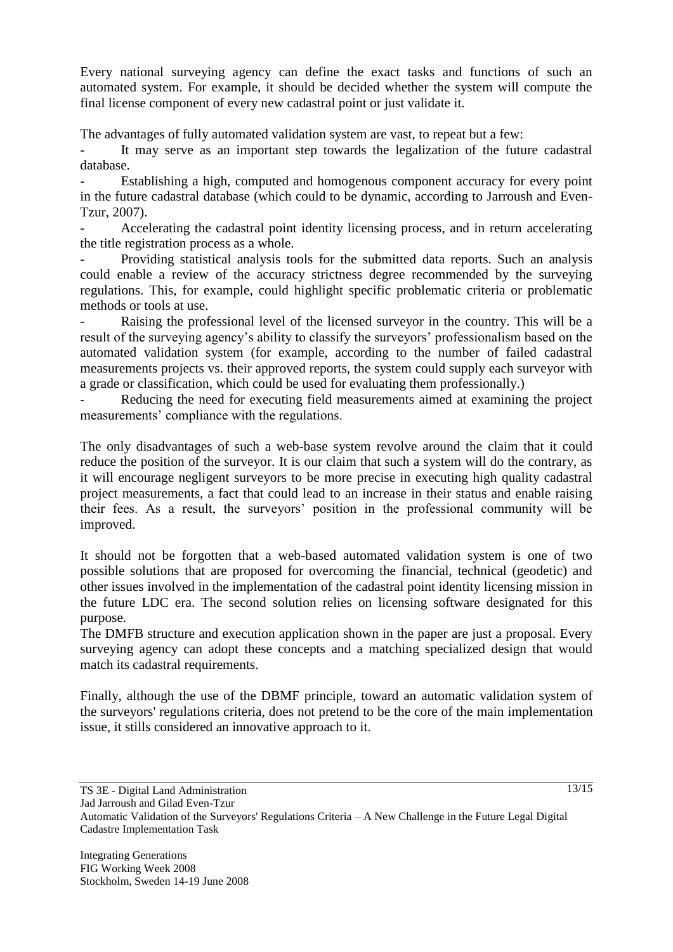Every national surveying agency can define the exact tasks and functions of such an automated system. For example, it should be decided whether the system will compute the final license component of every new cadastral point or just validate it.

The advantages of fully automated validation system are vast, to repeat but a few:

It may serve as an important step towards the legalization of the future cadastral database.

Establishing a high, computed and homogenous component accuracy for every point in the future cadastral database (which could to be dynamic, according to Jarroush and Even-Tzur, 2007).

Accelerating the cadastral point identity licensing process, and in return accelerating the title registration process as a whole.

Providing statistical analysis tools for the submitted data reports. Such an analysis could enable a review of the accuracy strictness degree recommended by the surveying regulations. This, for example, could highlight specific problematic criteria or problematic methods or tools at use.

Raising the professional level of the licensed surveyor in the country. This will be a result of the surveying agency's ability to classify the surveyors' professionalism based on the automated validation system (for example, according to the number of failed cadastral measurements projects vs. their approved reports, the system could supply each surveyor with a grade or classification, which could be used for evaluating them professionally.)

Reducing the need for executing field measurements aimed at examining the project measurements' compliance with the regulations.

The only disadvantages of such a web-base system revolve around the claim that it could reduce the position of the surveyor. It is our claim that such a system will do the contrary, as it will encourage negligent surveyors to be more precise in executing high quality cadastral project measurements, a fact that could lead to an increase in their status and enable raising their fees. As a result, the surveyors' position in the professional community will be improved.

It should not be forgotten that a web-based automated validation system is one of two possible solutions that are proposed for overcoming the financial, technical (geodetic) and other issues involved in the implementation of the cadastral point identity licensing mission in the future LDC era. The second solution relies on licensing software designated for this purpose.

The DMFB structure and execution application shown in the paper are just a proposal. Every surveying agency can adopt these concepts and a matching specialized design that would match its cadastral requirements.

Finally, although the use of the DBMF principle, toward an automatic validation system of the surveyors' regulations criteria, does not pretend to be the core of the main implementation issue, it stills considered an innovative approach to it.

 $13/15$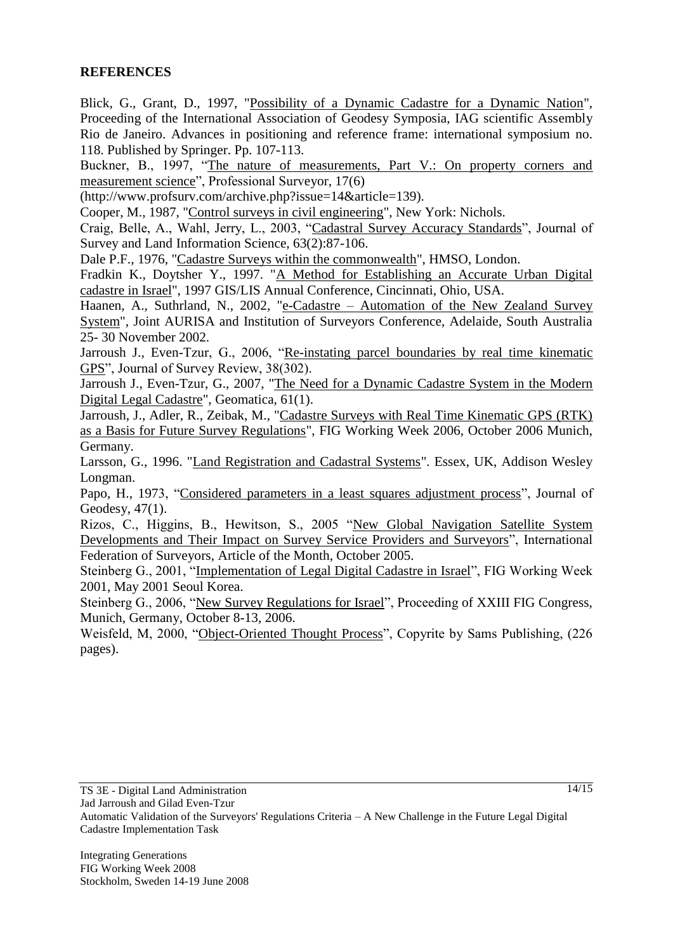#### **REFERENCES**

Blick, G., Grant, D., 1997, "Possibility of a Dynamic Cadastre for a Dynamic Nation", Proceeding of the International Association of Geodesy Symposia, IAG scientific Assembly Rio de Janeiro. Advances in positioning and reference frame: international symposium no. 118. Published by Springer. Pp. 107-113.

Buckner, B., 1997, "The nature of measurements, Part V.: On property corners and measurement science", Professional Surveyor, 17(6)

(http://www.profsurv.com/archive.php?issue=14&article=139).

Cooper, M., 1987, "Control surveys in civil engineering", New York: Nichols.

Craig, Belle, A., Wahl, Jerry, L., 2003, "Cadastral Survey Accuracy Standards", Journal of Survey and Land Information Science, 63(2):87-106.

Dale P.F., 1976, "Cadastre Surveys within the commonwealth", HMSO, London.

Fradkin K., Doytsher Y., 1997. "A Method for Establishing an Accurate Urban Digital cadastre in Israel", 1997 GIS/LIS Annual Conference, Cincinnati, Ohio, USA.

Haanen, A., Suthrland, N., 2002, "e-Cadastre – Automation of the New Zealand Survey System", Joint AURISA and Institution of Surveyors Conference, Adelaide, South Australia 25- 30 November 2002.

Jarroush J., Even-Tzur, G., 2006, "Re-instating parcel boundaries by real time kinematic GPS", Journal of Survey Review, 38(302).

Jarroush J., Even-Tzur, G., 2007, "The Need for a Dynamic Cadastre System in the Modern Digital Legal Cadastre", Geomatica, 61(1).

Jarroush, J., Adler, R., Zeibak, M., "Cadastre Surveys with Real Time Kinematic GPS (RTK) as a Basis for Future Survey Regulations", FIG Working Week 2006, October 2006 Munich, Germany.

Larsson, G., 1996. "Land Registration and Cadastral Systems". Essex, UK, Addison Wesley Longman.

Papo, H., 1973, "Considered parameters in a least squares adjustment process", Journal of Geodesy, 47(1).

Rizos, C., Higgins, B., Hewitson, S., 2005 "New Global Navigation Satellite System Developments and Their Impact on Survey Service Providers and Surveyors", International Federation of Surveyors, Article of the Month, October 2005.

Steinberg G., 2001, "Implementation of Legal Digital Cadastre in Israel", FIG Working Week 2001, May 2001 Seoul Korea.

Steinberg G., 2006, "New Survey Regulations for Israel", Proceeding of XXIII FIG Congress, Munich, Germany, October 8-13, 2006.

Weisfeld, M, 2000, "Object-Oriented Thought Process", Copyrite by Sams Publishing, (226 pages).

 $\sqrt{14/15}$ 

Jad Jarroush and Gilad Even-Tzur Automatic Validation of the Surveyors' Regulations Criteria – A New Challenge in the Future Legal Digital Cadastre Implementation Task